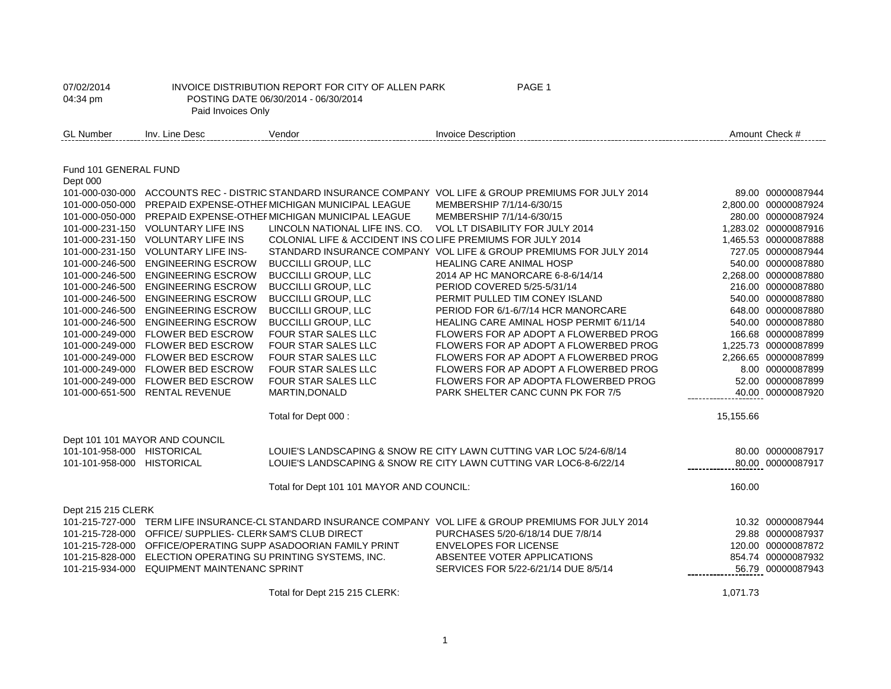| 07/02/2014<br>04:34 pm     | Paid Invoices Only                                           | INVOICE DISTRIBUTION REPORT FOR CITY OF ALLEN PARK<br>POSTING DATE 06/30/2014 - 06/30/2014 | PAGE 1                                                                                                    |           |                      |
|----------------------------|--------------------------------------------------------------|--------------------------------------------------------------------------------------------|-----------------------------------------------------------------------------------------------------------|-----------|----------------------|
| <b>GL Number</b>           | Inv. Line Desc                                               | Vendor                                                                                     | <b>Invoice Description</b>                                                                                |           | Amount Check #       |
|                            |                                                              |                                                                                            |                                                                                                           |           |                      |
| Fund 101 GENERAL FUND      |                                                              |                                                                                            |                                                                                                           |           |                      |
| Dept 000                   |                                                              |                                                                                            |                                                                                                           |           |                      |
|                            |                                                              |                                                                                            | 101-000-030-000 ACCOUNTS REC - DISTRIC STANDARD INSURANCE COMPANY VOL LIFE & GROUP PREMIUMS FOR JULY 2014 |           | 89.00 00000087944    |
|                            |                                                              | 101-000-050-000 PREPAID EXPENSE-OTHEF MICHIGAN MUNICIPAL LEAGUE                            | MEMBERSHIP 7/1/14-6/30/15                                                                                 |           | 2,800.00 00000087924 |
|                            |                                                              | 101-000-050-000 PREPAID EXPENSE-OTHEF MICHIGAN MUNICIPAL LEAGUE                            | MEMBERSHIP 7/1/14-6/30/15                                                                                 |           | 280.00 00000087924   |
|                            | 101-000-231-150 VOLUNTARY LIFE INS                           | LINCOLN NATIONAL LIFE INS. CO.                                                             | VOL LT DISABILITY FOR JULY 2014                                                                           |           | 1,283.02 00000087916 |
|                            | 101-000-231-150 VOLUNTARY LIFE INS                           | COLONIAL LIFE & ACCIDENT INS CO LIFE PREMIUMS FOR JULY 2014                                |                                                                                                           |           | 1,465.53 00000087888 |
|                            | 101-000-231-150 VOLUNTARY LIFE INS-                          |                                                                                            | STANDARD INSURANCE COMPANY VOL LIFE & GROUP PREMIUMS FOR JULY 2014                                        |           | 727.05 00000087944   |
|                            | 101-000-246-500 ENGINEERING ESCROW                           | <b>BUCCILLI GROUP, LLC</b>                                                                 | HEALING CARE ANIMAL HOSP                                                                                  |           | 540.00 00000087880   |
| 101-000-246-500            | <b>ENGINEERING ESCROW</b>                                    | <b>BUCCILLI GROUP, LLC</b>                                                                 | 2014 AP HC MANORCARE 6-8-6/14/14                                                                          |           | 2,268.00 00000087880 |
|                            | 101-000-246-500 ENGINEERING ESCROW                           | <b>BUCCILLI GROUP, LLC</b>                                                                 | PERIOD COVERED 5/25-5/31/14                                                                               |           | 216.00 00000087880   |
| 101-000-246-500            | <b>ENGINEERING ESCROW</b>                                    | <b>BUCCILLI GROUP, LLC</b>                                                                 | PERMIT PULLED TIM CONEY ISLAND                                                                            |           | 540.00 00000087880   |
| 101-000-246-500            | <b>ENGINEERING ESCROW</b>                                    | <b>BUCCILLI GROUP, LLC</b>                                                                 | PERIOD FOR 6/1-6/7/14 HCR MANORCARE                                                                       |           | 648.00 00000087880   |
|                            | 101-000-246-500 ENGINEERING ESCROW                           | <b>BUCCILLI GROUP, LLC</b>                                                                 | HEALING CARE AMINAL HOSP PERMIT 6/11/14                                                                   |           | 540.00 00000087880   |
|                            | 101-000-249-000 FLOWER BED ESCROW                            | FOUR STAR SALES LLC                                                                        | FLOWERS FOR AP ADOPT A FLOWERBED PROG                                                                     |           | 166.68 00000087899   |
|                            | 101-000-249-000 FLOWER BED ESCROW                            | <b>FOUR STAR SALES LLC</b>                                                                 | FLOWERS FOR AP ADOPT A FLOWERBED PROG                                                                     |           | 1.225.73 00000087899 |
|                            | 101-000-249-000 FLOWER BED ESCROW                            | <b>FOUR STAR SALES LLC</b>                                                                 | FLOWERS FOR AP ADOPT A FLOWERBED PROG                                                                     |           | 2,266.65 00000087899 |
|                            | 101-000-249-000 FLOWER BED ESCROW                            | <b>FOUR STAR SALES LLC</b>                                                                 | FLOWERS FOR AP ADOPT A FLOWERBED PROG                                                                     |           | 8.00 00000087899     |
|                            | 101-000-249-000 FLOWER BED ESCROW                            | FOUR STAR SALES LLC                                                                        | FLOWERS FOR AP ADOPTA FLOWERBED PROG                                                                      |           | 52.00 00000087899    |
|                            | 101-000-651-500 RENTAL REVENUE                               | MARTIN, DONALD                                                                             | PARK SHELTER CANC CUNN PK FOR 7/5                                                                         |           | 40.00 00000087920    |
|                            |                                                              | Total for Dept 000 :                                                                       |                                                                                                           | 15,155.66 |                      |
|                            | Dept 101 101 MAYOR AND COUNCIL                               |                                                                                            |                                                                                                           |           |                      |
| 101-101-958-000 HISTORICAL |                                                              |                                                                                            | LOUIE'S LANDSCAPING & SNOW RE CITY LAWN CUTTING VAR LOC 5/24-6/8/14                                       |           | 80.00 00000087917    |
| 101-101-958-000 HISTORICAL |                                                              |                                                                                            | LOUIE'S LANDSCAPING & SNOW RE CITY LAWN CUTTING VAR LOC6-8-6/22/14                                        |           | 80.00 00000087917    |
|                            |                                                              | Total for Dept 101 101 MAYOR AND COUNCIL:                                                  |                                                                                                           | 160.00    |                      |
|                            |                                                              |                                                                                            |                                                                                                           |           |                      |
| Dept 215 215 CLERK         |                                                              |                                                                                            | 101-215-727-000 TERM LIFE INSURANCE-CL STANDARD INSURANCE COMPANY VOL LIFE & GROUP PREMIUMS FOR JULY 2014 |           | 10.32 00000087944    |
|                            | 101-215-728-000 OFFICE/SUPPLIES- CLERK SAM'S CLUB DIRECT     |                                                                                            | PURCHASES 5/20-6/18/14 DUE 7/8/14                                                                         |           | 29.88 00000087937    |
|                            |                                                              | 101-215-728-000 OFFICE/OPERATING SUPP ASADOORIAN FAMILY PRINT                              | <b>ENVELOPES FOR LICENSE</b>                                                                              |           | 120.00 00000087872   |
|                            |                                                              |                                                                                            |                                                                                                           |           | 854.74 00000087932   |
|                            | 101-215-828-000 ELECTION OPERATING SU PRINTING SYSTEMS, INC. |                                                                                            | ABSENTEE VOTER APPLICATIONS                                                                               |           |                      |
|                            | 101-215-934-000 EQUIPMENT MAINTENANC SPRINT                  |                                                                                            | SERVICES FOR 5/22-6/21/14 DUE 8/5/14                                                                      |           | 56.79 00000087943    |
|                            |                                                              | Total for Dept 215 215 CLERK:                                                              |                                                                                                           | 1.071.73  |                      |

1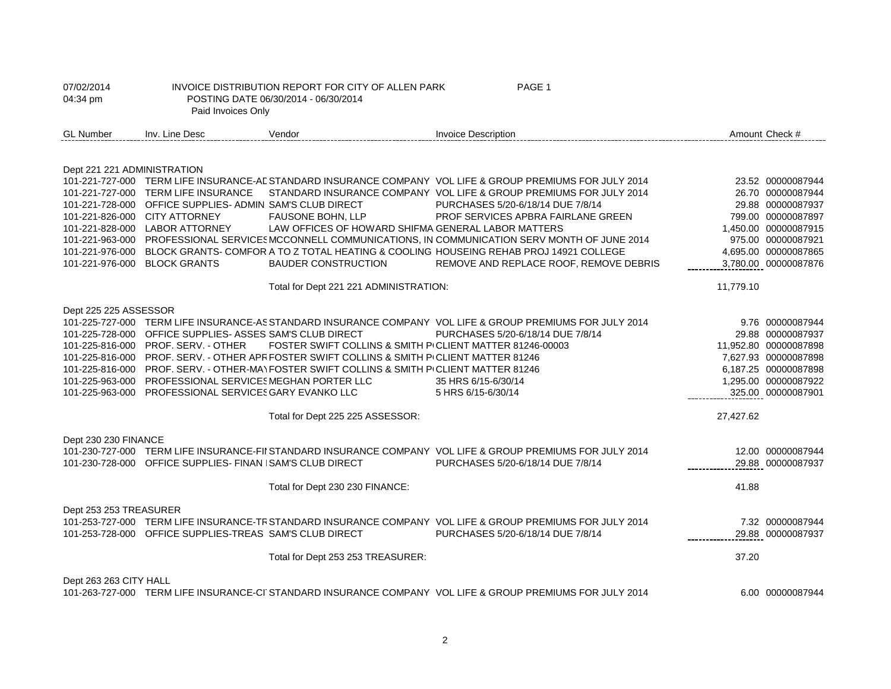| 07/02/2014<br>04:34 pm      | Paid Invoices Only                                        | INVOICE DISTRIBUTION REPORT FOR CITY OF ALLEN PARK<br>POSTING DATE 06/30/2014 - 06/30/2014 | PAGE 1                                                                                                     |           |                       |
|-----------------------------|-----------------------------------------------------------|--------------------------------------------------------------------------------------------|------------------------------------------------------------------------------------------------------------|-----------|-----------------------|
| <b>GL Number</b>            | Inv. Line Desc                                            | Vendor                                                                                     | <b>Invoice Description</b>                                                                                 |           | Amount Check #        |
|                             |                                                           |                                                                                            |                                                                                                            |           |                       |
| Dept 221 221 ADMINISTRATION |                                                           |                                                                                            |                                                                                                            |           |                       |
|                             |                                                           |                                                                                            | 101-221-727-000 TERM LIFE INSURANCE-AL STANDARD INSURANCE COMPANY VOL LIFE & GROUP PREMIUMS FOR JULY 2014  |           | 23.52 00000087944     |
|                             | 101-221-727-000 TERM LIFE INSURANCE                       |                                                                                            | STANDARD INSURANCE COMPANY VOL LIFE & GROUP PREMIUMS FOR JULY 2014                                         |           | 26.70 00000087944     |
|                             | 101-221-728-000 OFFICE SUPPLIES- ADMIN SAM'S CLUB DIRECT  |                                                                                            | PURCHASES 5/20-6/18/14 DUE 7/8/14                                                                          |           | 29.88 00000087937     |
|                             | 101-221-826-000 CITY ATTORNEY                             | <b>FAUSONE BOHN, LLP</b>                                                                   | PROF SERVICES APBRA FAIRLANE GREEN                                                                         |           | 799.00 00000087897    |
|                             | 101-221-828-000 LABOR ATTORNEY                            | LAW OFFICES OF HOWARD SHIFMA GENERAL LABOR MATTERS                                         |                                                                                                            |           | 1,450.00 00000087915  |
|                             |                                                           |                                                                                            | 101-221-963-000 PROFESSIONAL SERVICES MCCONNELL COMMUNICATIONS, IN COMMUNICATION SERV MONTH OF JUNE 2014   |           | 975.00 00000087921    |
|                             |                                                           |                                                                                            | 101-221-976-000 BLOCK GRANTS- COMFOR A TO Z TOTAL HEATING & COOLING HOUSEING REHAB PROJ 14921 COLLEGE      |           | 4,695.00 00000087865  |
|                             | 101-221-976-000 BLOCK GRANTS                              | <b>BAUDER CONSTRUCTION</b>                                                                 | REMOVE AND REPLACE ROOF, REMOVE DEBRIS                                                                     |           | 3,780.00 00000087876  |
|                             |                                                           | Total for Dept 221 221 ADMINISTRATION:                                                     |                                                                                                            | 11,779.10 |                       |
| Dept 225 225 ASSESSOR       |                                                           |                                                                                            |                                                                                                            |           |                       |
|                             |                                                           |                                                                                            | 101-225-727-000 TERM LIFE INSURANCE-AS STANDARD INSURANCE COMPANY VOL LIFE & GROUP PREMIUMS FOR JULY 2014  |           | 9.76 00000087944      |
|                             | 101-225-728-000 OFFICE SUPPLIES- ASSES SAM'S CLUB DIRECT  |                                                                                            | PURCHASES 5/20-6/18/14 DUE 7/8/14                                                                          |           | 29.88 00000087937     |
|                             | 101-225-816-000 PROF, SERV. - OTHER                       | FOSTER SWIFT COLLINS & SMITH P/CLIENT MATTER 81246-00003                                   |                                                                                                            |           | 11.952.80 00000087898 |
|                             |                                                           | 101-225-816-000 PROF. SERV. - OTHER APR FOSTER SWIFT COLLINS & SMITH PICLIENT MATTER 81246 |                                                                                                            |           | 7,627.93 00000087898  |
|                             |                                                           | 101-225-816-000 PROF. SERV. - OTHER-MAY FOSTER SWIFT COLLINS & SMITH PICLIENT MATTER 81246 |                                                                                                            |           | 6,187.25 00000087898  |
|                             | 101-225-963-000 PROFESSIONAL SERVICES MEGHAN PORTER LLC   |                                                                                            | 35 HRS 6/15-6/30/14                                                                                        |           | 1,295.00 00000087922  |
|                             | 101-225-963-000 PROFESSIONAL SERVICES GARY EVANKO LLC     |                                                                                            | 5 HRS 6/15-6/30/14                                                                                         |           | 325.00 00000087901    |
|                             |                                                           | Total for Dept 225 225 ASSESSOR:                                                           |                                                                                                            | 27,427.62 |                       |
| Dept 230 230 FINANCE        |                                                           |                                                                                            |                                                                                                            |           |                       |
|                             |                                                           |                                                                                            | 101-230-727-000 TERM LIFE INSURANCE-FII STANDARD INSURANCE COMPANY VOL LIFE & GROUP PREMIUMS FOR JULY 2014 |           | 12.00 00000087944     |
|                             | 101-230-728-000 OFFICE SUPPLIES- FINAN ISAM'S CLUB DIRECT |                                                                                            | PURCHASES 5/20-6/18/14 DUE 7/8/14                                                                          |           | 29.88 00000087937     |
|                             |                                                           |                                                                                            |                                                                                                            |           |                       |
|                             |                                                           | Total for Dept 230 230 FINANCE:                                                            |                                                                                                            | 41.88     |                       |
| Dept 253 253 TREASURER      |                                                           |                                                                                            |                                                                                                            |           |                       |
|                             |                                                           |                                                                                            | 101-253-727-000 TERM LIFE INSURANCE-TR STANDARD INSURANCE COMPANY VOL LIFE & GROUP PREMIUMS FOR JULY 2014  |           | 7.32 00000087944      |
|                             | 101-253-728-000 OFFICE SUPPLIES-TREAS SAM'S CLUB DIRECT   |                                                                                            | PURCHASES 5/20-6/18/14 DUE 7/8/14                                                                          |           | 29.88 00000087937     |
|                             |                                                           | Total for Dept 253 253 TREASURER:                                                          |                                                                                                            | 37.20     |                       |
|                             |                                                           |                                                                                            |                                                                                                            |           |                       |
| Dept 263 263 CITY HALL      |                                                           |                                                                                            | 101-263-727-000 TERM LIFE INSURANCE-CI STANDARD INSURANCE COMPANY VOL LIFE & GROUP PREMIUMS FOR JULY 2014  |           | 6.00 00000087944      |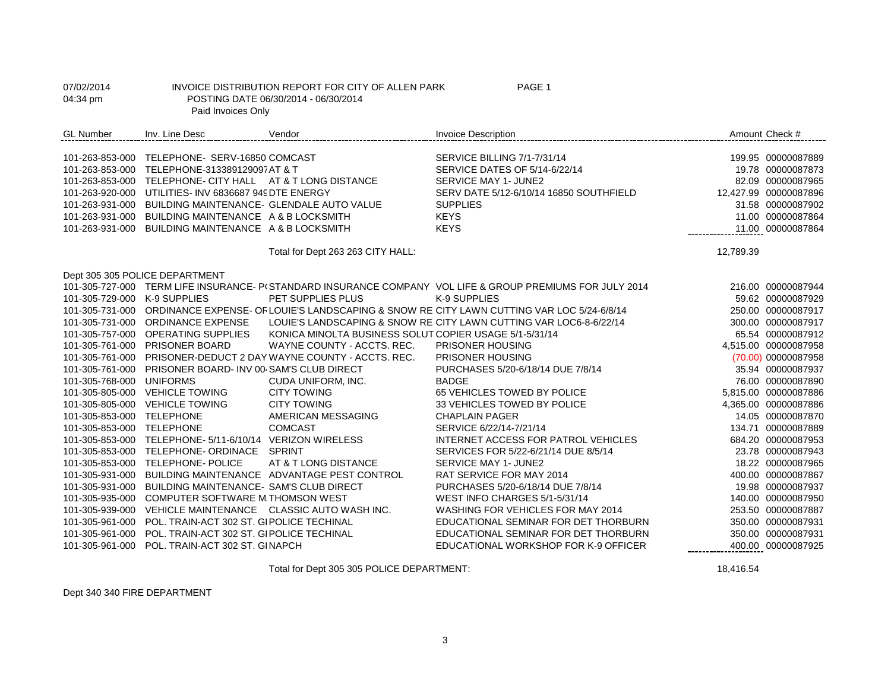| 07/02/2014<br>04:34 pm | Paid Invoices Only                                        | INVOICE DISTRIBUTION REPORT FOR CITY OF ALLEN PARK<br>POSTING DATE 06/30/2014 - 06/30/2014 | PAGE 1                                                                                                    |           |                       |
|------------------------|-----------------------------------------------------------|--------------------------------------------------------------------------------------------|-----------------------------------------------------------------------------------------------------------|-----------|-----------------------|
| <b>GL Number</b>       | Inv. Line Desc                                            | Vendor                                                                                     | <b>Invoice Description</b>                                                                                |           | Amount Check #        |
|                        | 101-263-853-000 TELEPHONE- SERV-16850 COMCAST             |                                                                                            | SERVICE BILLING 7/1-7/31/14                                                                               |           | 199.95 00000087889    |
|                        | 101-263-853-000 TELEPHONE-313389129097 AT & T             |                                                                                            | SERVICE DATES OF 5/14-6/22/14                                                                             |           | 19.78 00000087873     |
|                        | 101-263-853-000 TELEPHONE- CITY HALL AT & T LONG DISTANCE |                                                                                            | SERVICE MAY 1- JUNE2                                                                                      |           | 82.09 00000087965     |
| 101-263-920-000        | UTILITIES- INV 6836687 949 DTE ENERGY                     |                                                                                            | SERV DATE 5/12-6/10/14 16850 SOUTHFIELD                                                                   |           | 12,427.99 00000087896 |
| 101-263-931-000        | BUILDING MAINTENANCE- GLENDALE AUTO VALUE                 |                                                                                            | <b>SUPPLIES</b>                                                                                           |           | 31.58 00000087902     |
| 101-263-931-000        | BUILDING MAINTENANCE A & B LOCKSMITH                      |                                                                                            | <b>KEYS</b>                                                                                               |           | 11.00 00000087864     |
| 101-263-931-000        | BUILDING MAINTENANCE A & B LOCKSMITH                      |                                                                                            | <b>KEYS</b>                                                                                               |           | 11.00 00000087864     |
|                        |                                                           | Total for Dept 263 263 CITY HALL:                                                          |                                                                                                           | 12,789.39 |                       |
|                        | Dept 305 305 POLICE DEPARTMENT                            |                                                                                            |                                                                                                           |           |                       |
|                        |                                                           |                                                                                            | 101-305-727-000 TERM LIFE INSURANCE- P(STANDARD INSURANCE COMPANY VOL LIFE & GROUP PREMIUMS FOR JULY 2014 |           | 216.00 00000087944    |
| 101-305-729-000        | K-9 SUPPLIES                                              | PET SUPPLIES PLUS                                                                          | K-9 SUPPLIES                                                                                              |           | 59.62 00000087929     |
|                        |                                                           |                                                                                            | 101-305-731-000 ORDINANCE EXPENSE- OF LOUIE'S LANDSCAPING & SNOW RE CITY LAWN CUTTING VAR LOC 5/24-6/8/14 |           | 250.00 00000087917    |
|                        | 101-305-731-000 ORDINANCE EXPENSE                         |                                                                                            | LOUIE'S LANDSCAPING & SNOW RE CITY LAWN CUTTING VAR LOC6-8-6/22/14                                        |           | 300.00 00000087917    |
|                        | 101-305-757-000 OPERATING SUPPLIES                        | KONICA MINOLTA BUSINESS SOLUT COPIER USAGE 5/1-5/31/14                                     |                                                                                                           |           | 65.54 00000087912     |
|                        | 101-305-761-000 PRISONER BOARD                            | WAYNE COUNTY - ACCTS, REC.                                                                 | PRISONER HOUSING                                                                                          |           | 4,515.00 00000087958  |
|                        |                                                           | 101-305-761-000 PRISONER-DEDUCT 2 DAY WAYNE COUNTY - ACCTS. REC.                           | PRISONER HOUSING                                                                                          |           | (70.00) 00000087958   |
|                        | 101-305-761-000 PRISONER BOARD- INV 00 SAM'S CLUB DIRECT  |                                                                                            | PURCHASES 5/20-6/18/14 DUE 7/8/14                                                                         |           | 35.94 00000087937     |
| 101-305-768-000        | <b>UNIFORMS</b>                                           | CUDA UNIFORM, INC.                                                                         | <b>BADGE</b>                                                                                              |           | 76.00 00000087890     |
|                        | 101-305-805-000 VEHICLE TOWING                            | <b>CITY TOWING</b>                                                                         | 65 VEHICLES TOWED BY POLICE                                                                               |           | 5.815.00 00000087886  |
| 101-305-805-000        | <b>VEHICLE TOWING</b>                                     | <b>CITY TOWING</b>                                                                         | 33 VEHICLES TOWED BY POLICE                                                                               |           | 4,365.00 00000087886  |
| 101-305-853-000        | <b>TELEPHONE</b>                                          | AMERICAN MESSAGING                                                                         | <b>CHAPLAIN PAGER</b>                                                                                     |           | 14.05 00000087870     |
| 101-305-853-000        | <b>TELEPHONE</b>                                          | <b>COMCAST</b>                                                                             | SERVICE 6/22/14-7/21/14                                                                                   |           | 134.71 00000087889    |
| 101-305-853-000        | TELEPHONE- 5/11-6/10/14 VERIZON WIRELESS                  |                                                                                            | INTERNET ACCESS FOR PATROL VEHICLES                                                                       |           | 684.20 00000087953    |
| 101-305-853-000        | TELEPHONE- ORDINACE SPRINT                                |                                                                                            | SERVICES FOR 5/22-6/21/14 DUE 8/5/14                                                                      |           | 23.78 00000087943     |
| 101-305-853-000        | <b>TELEPHONE- POLICE</b>                                  | AT & T LONG DISTANCE                                                                       | SERVICE MAY 1- JUNE2                                                                                      |           | 18.22 00000087965     |
| 101-305-931-000        |                                                           | BUILDING MAINTENANCE ADVANTAGE PEST CONTROL                                                | <b>RAT SERVICE FOR MAY 2014</b>                                                                           |           | 400.00 00000087867    |
| 101-305-931-000        | BUILDING MAINTENANCE- SAM'S CLUB DIRECT                   |                                                                                            | PURCHASES 5/20-6/18/14 DUE 7/8/14                                                                         |           | 19.98 00000087937     |
| 101-305-935-000        | COMPUTER SOFTWARE M THOMSON WEST                          |                                                                                            | WEST INFO CHARGES 5/1-5/31/14                                                                             |           | 140.00 00000087950    |
| 101-305-939-000        |                                                           | VEHICLE MAINTENANCE CLASSIC AUTO WASH INC.                                                 | WASHING FOR VEHICLES FOR MAY 2014                                                                         |           | 253.50 00000087887    |
| 101-305-961-000        | POL. TRAIN-ACT 302 ST. GIPOLICE TECHINAL                  |                                                                                            | EDUCATIONAL SEMINAR FOR DET THORBURN                                                                      |           | 350.00 00000087931    |
| 101-305-961-000        | POL. TRAIN-ACT 302 ST. GIPOLICE TECHINAL                  |                                                                                            | EDUCATIONAL SEMINAR FOR DET THORBURN                                                                      |           | 350.00 00000087931    |
| 101-305-961-000        | POL. TRAIN-ACT 302 ST. GINAPCH                            |                                                                                            | EDUCATIONAL WORKSHOP FOR K-9 OFFICER                                                                      |           | 400.00 00000087925    |

Total for Dept 305 305 POLICE DEPARTMENT: 18,416.54

Dept 340 340 FIRE DEPARTMENT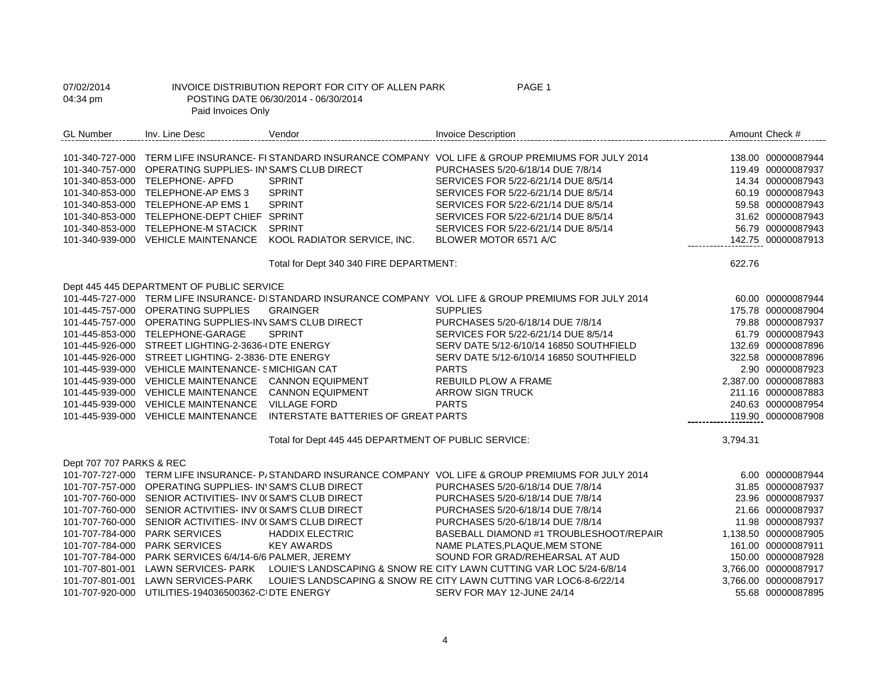| 07/02/2014<br>04:34 pm   | Paid Invoices Only                                         | INVOICE DISTRIBUTION REPORT FOR CITY OF ALLEN PARK<br>POSTING DATE 06/30/2014 - 06/30/2014 | PAGE 1                                                                                                     |          |                      |
|--------------------------|------------------------------------------------------------|--------------------------------------------------------------------------------------------|------------------------------------------------------------------------------------------------------------|----------|----------------------|
| <b>GL Number</b>         | Inv. Line Desc                                             | Vendor                                                                                     | <b>Invoice Description</b>                                                                                 |          | Amount Check #       |
|                          |                                                            |                                                                                            | 101-340-727-000 TERM LIFE INSURANCE- FI STANDARD INSURANCE COMPANY VOL LIFE & GROUP PREMIUMS FOR JULY 2014 |          | 138.00 00000087944   |
|                          | 101-340-757-000 OPERATING SUPPLIES- IN'SAM'S CLUB DIRECT   |                                                                                            | PURCHASES 5/20-6/18/14 DUE 7/8/14                                                                          |          | 119.49 00000087937   |
|                          | 101-340-853-000 TELEPHONE- APFD                            | <b>SPRINT</b>                                                                              | SERVICES FOR 5/22-6/21/14 DUE 8/5/14                                                                       |          | 14.34 00000087943    |
|                          | 101-340-853-000 TELEPHONE-AP EMS 3                         | <b>SPRINT</b>                                                                              | SERVICES FOR 5/22-6/21/14 DUE 8/5/14                                                                       |          | 60.19 00000087943    |
|                          | 101-340-853-000 TELEPHONE-AP EMS 1                         | <b>SPRINT</b>                                                                              | SERVICES FOR 5/22-6/21/14 DUE 8/5/14                                                                       |          | 59.58 00000087943    |
|                          | 101-340-853-000 TELEPHONE-DEPT CHIEF SPRINT                |                                                                                            | SERVICES FOR 5/22-6/21/14 DUE 8/5/14                                                                       |          | 31.62 00000087943    |
|                          | 101-340-853-000 TELEPHONE-M STACICK SPRINT                 |                                                                                            | SERVICES FOR 5/22-6/21/14 DUE 8/5/14                                                                       |          | 56.79 00000087943    |
|                          | 101-340-939-000 VEHICLE MAINTENANCE                        | KOOL RADIATOR SERVICE, INC.                                                                | BLOWER MOTOR 6571 A/C                                                                                      |          | 142.75 00000087913   |
|                          |                                                            | Total for Dept 340 340 FIRE DEPARTMENT:                                                    |                                                                                                            | 622.76   |                      |
|                          | Dept 445 445 DEPARTMENT OF PUBLIC SERVICE                  |                                                                                            |                                                                                                            |          |                      |
|                          |                                                            |                                                                                            | 101-445-727-000 TERM LIFE INSURANCE- DI STANDARD INSURANCE COMPANY VOL LIFE & GROUP PREMIUMS FOR JULY 2014 |          | 60.00 00000087944    |
|                          | 101-445-757-000 OPERATING SUPPLIES                         | <b>GRAINGER</b>                                                                            | <b>SUPPLIES</b>                                                                                            |          | 175.78 00000087904   |
|                          | 101-445-757-000 OPERATING SUPPLIES-INV SAM'S CLUB DIRECT   |                                                                                            | PURCHASES 5/20-6/18/14 DUE 7/8/14                                                                          |          | 79.88 00000087937    |
|                          | 101-445-853-000 TELEPHONE-GARAGE                           | <b>SPRINT</b>                                                                              | SERVICES FOR 5/22-6/21/14 DUE 8/5/14                                                                       |          | 61.79 00000087943    |
|                          | 101-445-926-000 STREET LIGHTING-2-3636-I DTE ENERGY        |                                                                                            | SERV DATE 5/12-6/10/14 16850 SOUTHFIELD                                                                    |          | 132.69 00000087896   |
|                          | 101-445-926-000 STREET LIGHTING- 2-3836-DTE ENERGY         |                                                                                            | SERV DATE 5/12-6/10/14 16850 SOUTHFIELD                                                                    |          | 322.58 00000087896   |
|                          | 101-445-939-000 VEHICLE MAINTENANCE- SMICHIGAN CAT         |                                                                                            | <b>PARTS</b>                                                                                               |          | 2.90 00000087923     |
|                          | 101-445-939-000 VEHICLE MAINTENANCE                        | <b>CANNON EQUIPMENT</b>                                                                    | REBUILD PLOW A FRAME                                                                                       |          | 2,387.00 00000087883 |
|                          | 101-445-939-000 VEHICLE MAINTENANCE                        | <b>CANNON EQUIPMENT</b>                                                                    | <b>ARROW SIGN TRUCK</b>                                                                                    |          | 211.16 00000087883   |
|                          | 101-445-939-000 VEHICLE MAINTENANCE                        | <b>VILLAGE FORD</b>                                                                        | <b>PARTS</b>                                                                                               |          | 240.63 00000087954   |
|                          | 101-445-939-000 VEHICLE MAINTENANCE                        | <b>INTERSTATE BATTERIES OF GREAT PARTS</b>                                                 |                                                                                                            |          | 119.90 00000087908   |
|                          |                                                            | Total for Dept 445 445 DEPARTMENT OF PUBLIC SERVICE:                                       |                                                                                                            | 3,794.31 |                      |
| Dept 707 707 PARKS & REC |                                                            |                                                                                            |                                                                                                            |          |                      |
|                          |                                                            |                                                                                            | 101-707-727-000 TERM LIFE INSURANCE- P/STANDARD INSURANCE COMPANY VOL LIFE & GROUP PREMIUMS FOR JULY 2014  |          | 6.00 00000087944     |
|                          | 101-707-757-000 OPERATING SUPPLIES- IN'SAM'S CLUB DIRECT   |                                                                                            | PURCHASES 5/20-6/18/14 DUE 7/8/14                                                                          |          | 31.85 00000087937    |
|                          | 101-707-760-000 SENIOR ACTIVITIES- INV 0(SAM'S CLUB DIRECT |                                                                                            | PURCHASES 5/20-6/18/14 DUE 7/8/14                                                                          |          | 23.96 00000087937    |
|                          | 101-707-760-000 SENIOR ACTIVITIES- INV 0(SAM'S CLUB DIRECT |                                                                                            | PURCHASES 5/20-6/18/14 DUE 7/8/14                                                                          |          | 21.66 00000087937    |
|                          | 101-707-760-000 SENIOR ACTIVITIES- INV 0(SAM'S CLUB DIRECT |                                                                                            | PURCHASES 5/20-6/18/14 DUE 7/8/14                                                                          |          | 11.98 00000087937    |
|                          | 101-707-784-000 PARK SERVICES                              | <b>HADDIX ELECTRIC</b>                                                                     | BASEBALL DIAMOND #1 TROUBLESHOOT/REPAIR                                                                    |          | 1,138.50 00000087905 |
|                          | 101-707-784-000 PARK SERVICES                              | <b>KEY AWARDS</b>                                                                          | NAME PLATES, PLAQUE, MEM STONE                                                                             |          | 161.00 00000087911   |
|                          | 101-707-784-000 PARK SERVICES 6/4/14-6/6 PALMER, JEREMY    |                                                                                            | SOUND FOR GRAD/REHEARSAL AT AUD                                                                            |          | 150.00 00000087928   |
|                          |                                                            |                                                                                            | 101-707-801-001 LAWN SERVICES- PARK LOUIE'S LANDSCAPING & SNOW RE CITY LAWN CUTTING VAR LOC 5/24-6/8/14    |          | 3,766.00 00000087917 |
|                          | 101-707-801-001 LAWN SERVICES-PARK                         |                                                                                            | LOUIE'S LANDSCAPING & SNOW RE CITY LAWN CUTTING VAR LOC6-8-6/22/14                                         |          | 3,766.00 00000087917 |
|                          | 101-707-920-000 UTILITIES-194036500362-CIDTE ENERGY        |                                                                                            | SERV FOR MAY 12-JUNE 24/14                                                                                 |          | 55.68 00000087895    |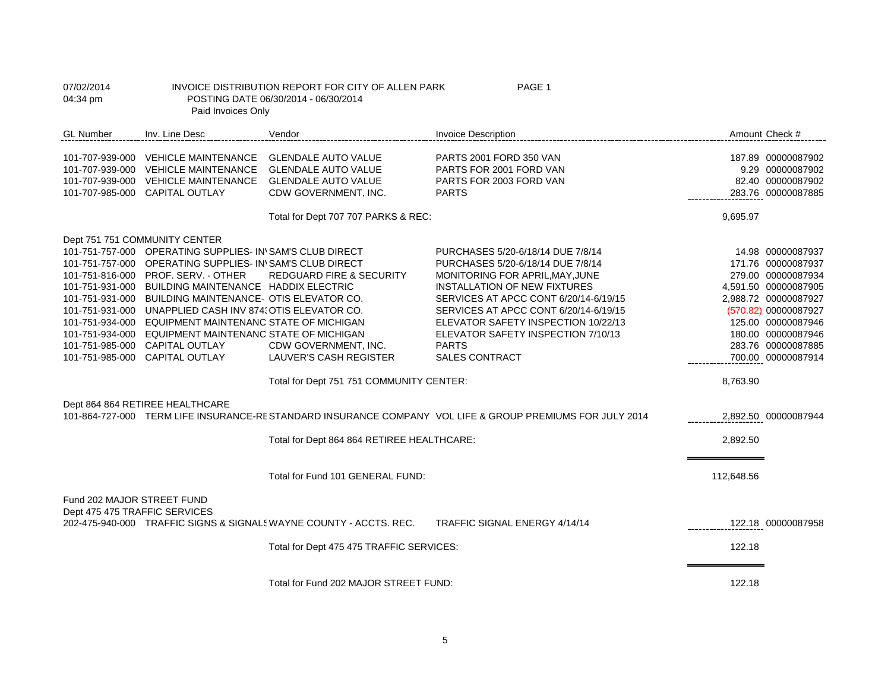| 07/02/2014<br>04:34 pm                                      | PAGE 1<br>INVOICE DISTRIBUTION REPORT FOR CITY OF ALLEN PARK<br>POSTING DATE 06/30/2014 - 06/30/2014<br>Paid Invoices Only                                                                                                                                                                                                                                                                                                                                                                                                                                           |                                                                                                                                                                          |                                                                                                                                                                                                                                                                                                                                                   |                      |                                                                                                                                                                                                                               |
|-------------------------------------------------------------|----------------------------------------------------------------------------------------------------------------------------------------------------------------------------------------------------------------------------------------------------------------------------------------------------------------------------------------------------------------------------------------------------------------------------------------------------------------------------------------------------------------------------------------------------------------------|--------------------------------------------------------------------------------------------------------------------------------------------------------------------------|---------------------------------------------------------------------------------------------------------------------------------------------------------------------------------------------------------------------------------------------------------------------------------------------------------------------------------------------------|----------------------|-------------------------------------------------------------------------------------------------------------------------------------------------------------------------------------------------------------------------------|
| <b>GL Number</b>                                            | Inv. Line Desc                                                                                                                                                                                                                                                                                                                                                                                                                                                                                                                                                       | Vendor                                                                                                                                                                   | <b>Invoice Description</b>                                                                                                                                                                                                                                                                                                                        |                      | Amount Check #                                                                                                                                                                                                                |
|                                                             | 101-707-939-000 VEHICLE MAINTENANCE<br>101-707-939-000 VEHICLE MAINTENANCE<br>101-707-939-000 VEHICLE MAINTENANCE<br>101-707-985-000 CAPITAL OUTLAY                                                                                                                                                                                                                                                                                                                                                                                                                  | <b>GLENDALE AUTO VALUE</b><br><b>GLENDALE AUTO VALUE</b><br><b>GLENDALE AUTO VALUE</b><br>CDW GOVERNMENT, INC.                                                           | PARTS 2001 FORD 350 VAN<br>PARTS FOR 2001 FORD VAN<br>PARTS FOR 2003 FORD VAN<br><b>PARTS</b>                                                                                                                                                                                                                                                     |                      | 187.89 00000087902<br>9.29 00000087902<br>82.40 00000087902<br>283.76 00000087885                                                                                                                                             |
|                                                             | Dept 751 751 COMMUNITY CENTER<br>101-751-757-000 OPERATING SUPPLIES- IN'SAM'S CLUB DIRECT<br>101-751-757-000 OPERATING SUPPLIES- IN'SAM'S CLUB DIRECT<br>101-751-816-000 PROF. SERV. - OTHER<br>101-751-931-000 BUILDING MAINTENANCE HADDIX ELECTRIC<br>101-751-931-000 BUILDING MAINTENANCE- OTIS ELEVATOR CO.<br>101-751-931-000 UNAPPLIED CASH INV 874, OTIS ELEVATOR CO.<br>101-751-934-000 EQUIPMENT MAINTENANC STATE OF MICHIGAN<br>101-751-934-000 EQUIPMENT MAINTENANC STATE OF MICHIGAN<br>101-751-985-000 CAPITAL OUTLAY<br>101-751-985-000 CAPITAL OUTLAY | Total for Dept 707 707 PARKS & REC:<br><b>REDGUARD FIRE &amp; SECURITY</b><br>CDW GOVERNMENT, INC.<br>LAUVER'S CASH REGISTER<br>Total for Dept 751 751 COMMUNITY CENTER: | PURCHASES 5/20-6/18/14 DUE 7/8/14<br>PURCHASES 5/20-6/18/14 DUE 7/8/14<br>MONITORING FOR APRIL, MAY, JUNE<br>INSTALLATION OF NEW FIXTURES<br>SERVICES AT APCC CONT 6/20/14-6/19/15<br>SERVICES AT APCC CONT 6/20/14-6/19/15<br>ELEVATOR SAFETY INSPECTION 10/22/13<br>ELEVATOR SAFETY INSPECTION 7/10/13<br><b>PARTS</b><br><b>SALES CONTRACT</b> | 9,695.97<br>8,763.90 | 14.98 00000087937<br>171.76 00000087937<br>279.00 00000087934<br>4,591.50 00000087905<br>2,988.72 00000087927<br>(570.82) 00000087927<br>125.00 00000087946<br>180.00 00000087946<br>283.76 00000087885<br>700.00 00000087914 |
|                                                             | Dept 864 864 RETIREE HEALTHCARE                                                                                                                                                                                                                                                                                                                                                                                                                                                                                                                                      | Total for Dept 864 864 RETIREE HEALTHCARE:                                                                                                                               | 101-864-727-000 TERM LIFE INSURANCE-RESTANDARD INSURANCE COMPANY VOL LIFE & GROUP PREMIUMS FOR JULY 2014                                                                                                                                                                                                                                          | 2,892.50             | 2,892.50 00000087944                                                                                                                                                                                                          |
| Fund 202 MAJOR STREET FUND<br>Dept 475 475 TRAFFIC SERVICES |                                                                                                                                                                                                                                                                                                                                                                                                                                                                                                                                                                      | Total for Fund 101 GENERAL FUND:                                                                                                                                         |                                                                                                                                                                                                                                                                                                                                                   | 112,648.56           |                                                                                                                                                                                                                               |
|                                                             |                                                                                                                                                                                                                                                                                                                                                                                                                                                                                                                                                                      | 202-475-940-000 TRAFFIC SIGNS & SIGNALS WAYNE COUNTY - ACCTS. REC.<br>Total for Dept 475 475 TRAFFIC SERVICES:                                                           | TRAFFIC SIGNAL ENERGY 4/14/14                                                                                                                                                                                                                                                                                                                     | 122.18               | 122.18 00000087958                                                                                                                                                                                                            |
|                                                             |                                                                                                                                                                                                                                                                                                                                                                                                                                                                                                                                                                      | Total for Fund 202 MAJOR STREET FUND:                                                                                                                                    |                                                                                                                                                                                                                                                                                                                                                   | 122.18               |                                                                                                                                                                                                                               |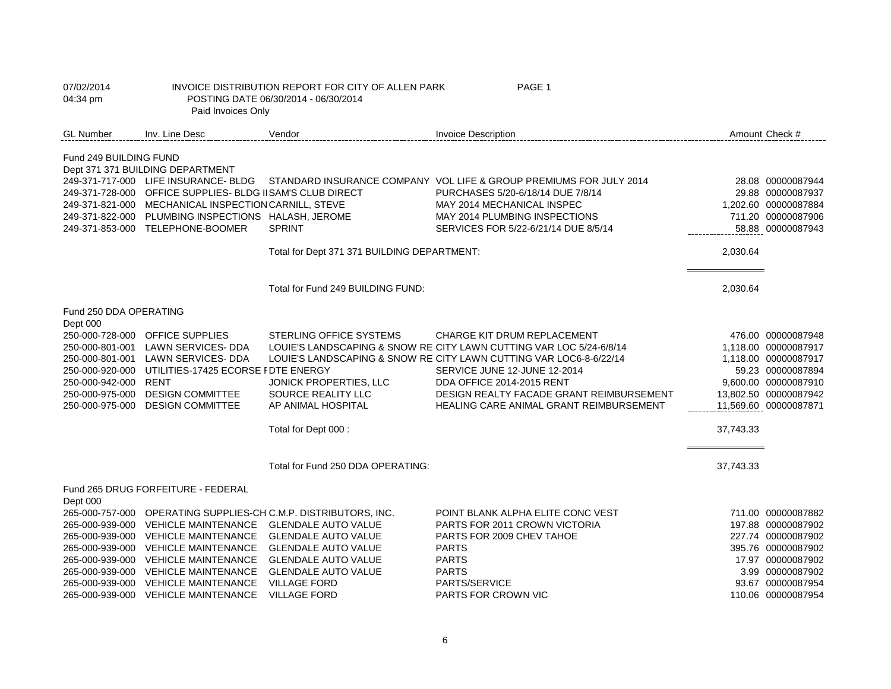| 07/02/2014<br>04:34 pm                                                                      | Paid Invoices Only                                                                                                                                                                                                                                                            | INVOICE DISTRIBUTION REPORT FOR CITY OF ALLEN PARK<br>POSTING DATE 06/30/2014 - 06/30/2014                                                                                                                                                                          | PAGE 1                                                                                                                                                                                                                                                                                                                              |           |                                                                                                                                                                          |
|---------------------------------------------------------------------------------------------|-------------------------------------------------------------------------------------------------------------------------------------------------------------------------------------------------------------------------------------------------------------------------------|---------------------------------------------------------------------------------------------------------------------------------------------------------------------------------------------------------------------------------------------------------------------|-------------------------------------------------------------------------------------------------------------------------------------------------------------------------------------------------------------------------------------------------------------------------------------------------------------------------------------|-----------|--------------------------------------------------------------------------------------------------------------------------------------------------------------------------|
| <b>GL Number</b>                                                                            | Inv. Line Desc                                                                                                                                                                                                                                                                | Vendor                                                                                                                                                                                                                                                              | <b>Invoice Description</b>                                                                                                                                                                                                                                                                                                          |           | Amount Check #                                                                                                                                                           |
| Fund 249 BUILDING FUND                                                                      | Dept 371 371 BUILDING DEPARTMENT                                                                                                                                                                                                                                              |                                                                                                                                                                                                                                                                     |                                                                                                                                                                                                                                                                                                                                     |           |                                                                                                                                                                          |
|                                                                                             | 249-371-717-000 LIFE INSURANCE- BLDG<br>249-371-728-000 OFFICE SUPPLIES- BLDG II SAM'S CLUB DIRECT<br>249-371-821-000 MECHANICAL INSPECTION CARNILL, STEVE<br>249-371-822-000 PLUMBING INSPECTIONS HALASH, JEROME<br>249-371-853-000 TELEPHONE-BOOMER                         | <b>SPRINT</b>                                                                                                                                                                                                                                                       | STANDARD INSURANCE COMPANY VOL LIFE & GROUP PREMIUMS FOR JULY 2014<br>PURCHASES 5/20-6/18/14 DUE 7/8/14<br>MAY 2014 MECHANICAL INSPEC<br>MAY 2014 PLUMBING INSPECTIONS<br>SERVICES FOR 5/22-6/21/14 DUE 8/5/14                                                                                                                      |           | 28.08 00000087944<br>29.88 00000087937<br>1,202.60 00000087884<br>711.20 00000087906<br>58.88 00000087943                                                                |
|                                                                                             |                                                                                                                                                                                                                                                                               | Total for Dept 371 371 BUILDING DEPARTMENT:                                                                                                                                                                                                                         |                                                                                                                                                                                                                                                                                                                                     | 2,030.64  |                                                                                                                                                                          |
|                                                                                             |                                                                                                                                                                                                                                                                               | Total for Fund 249 BUILDING FUND:                                                                                                                                                                                                                                   |                                                                                                                                                                                                                                                                                                                                     | 2,030.64  |                                                                                                                                                                          |
| Fund 250 DDA OPERATING<br>Dept 000                                                          |                                                                                                                                                                                                                                                                               |                                                                                                                                                                                                                                                                     |                                                                                                                                                                                                                                                                                                                                     |           |                                                                                                                                                                          |
| 250-000-801-001<br>250-000-920-000<br>250-000-942-000<br>250-000-975-000<br>250-000-975-000 | 250-000-728-000 OFFICE SUPPLIES<br>LAWN SERVICES- DDA<br>250-000-801-001 LAWN SERVICES- DDA<br>UTILITIES-17425 ECORSE I DTE ENERGY<br>RENT<br><b>DESIGN COMMITTEE</b><br><b>DESIGN COMMITTEE</b>                                                                              | <b>STERLING OFFICE SYSTEMS</b><br>JONICK PROPERTIES, LLC<br>SOURCE REALITY LLC<br>AP ANIMAL HOSPITAL                                                                                                                                                                | <b>CHARGE KIT DRUM REPLACEMENT</b><br>LOUIE'S LANDSCAPING & SNOW RE CITY LAWN CUTTING VAR LOC 5/24-6/8/14<br>LOUIE'S LANDSCAPING & SNOW RE CITY LAWN CUTTING VAR LOC6-8-6/22/14<br>SERVICE JUNE 12-JUNE 12-2014<br>DDA OFFICE 2014-2015 RENT<br>DESIGN REALTY FACADE GRANT REIMBURSEMENT<br>HEALING CARE ANIMAL GRANT REIMBURSEMENT |           | 476.00 00000087948<br>1.118.00 00000087917<br>1,118.00 00000087917<br>59.23 00000087894<br>9,600.00 00000087910<br>13,802.50 00000087942<br>11,569.60 00000087871        |
|                                                                                             |                                                                                                                                                                                                                                                                               | Total for Dept 000 :                                                                                                                                                                                                                                                |                                                                                                                                                                                                                                                                                                                                     | 37,743.33 |                                                                                                                                                                          |
|                                                                                             |                                                                                                                                                                                                                                                                               | Total for Fund 250 DDA OPERATING:                                                                                                                                                                                                                                   |                                                                                                                                                                                                                                                                                                                                     | 37,743.33 |                                                                                                                                                                          |
| Dept 000                                                                                    | Fund 265 DRUG FORFEITURE - FEDERAL                                                                                                                                                                                                                                            |                                                                                                                                                                                                                                                                     |                                                                                                                                                                                                                                                                                                                                     |           |                                                                                                                                                                          |
|                                                                                             | 265-000-939-000 VEHICLE MAINTENANCE<br>265-000-939-000 VEHICLE MAINTENANCE<br>265-000-939-000 VEHICLE MAINTENANCE<br>265-000-939-000 VEHICLE MAINTENANCE<br>265-000-939-000 VEHICLE MAINTENANCE<br>265-000-939-000 VEHICLE MAINTENANCE<br>265-000-939-000 VEHICLE MAINTENANCE | 265-000-757-000 OPERATING SUPPLIES-CH C.M.P. DISTRIBUTORS, INC.<br><b>GLENDALE AUTO VALUE</b><br><b>GLENDALE AUTO VALUE</b><br><b>GLENDALE AUTO VALUE</b><br><b>GLENDALE AUTO VALUE</b><br><b>GLENDALE AUTO VALUE</b><br><b>VILLAGE FORD</b><br><b>VILLAGE FORD</b> | POINT BLANK ALPHA ELITE CONC VEST<br>PARTS FOR 2011 CROWN VICTORIA<br>PARTS FOR 2009 CHEV TAHOE<br><b>PARTS</b><br><b>PARTS</b><br><b>PARTS</b><br>PARTS/SERVICE<br>PARTS FOR CROWN VIC                                                                                                                                             |           | 711.00 00000087882<br>197.88 00000087902<br>227.74 00000087902<br>395.76 00000087902<br>17.97 00000087902<br>3.99 00000087902<br>93.67 00000087954<br>110.06 00000087954 |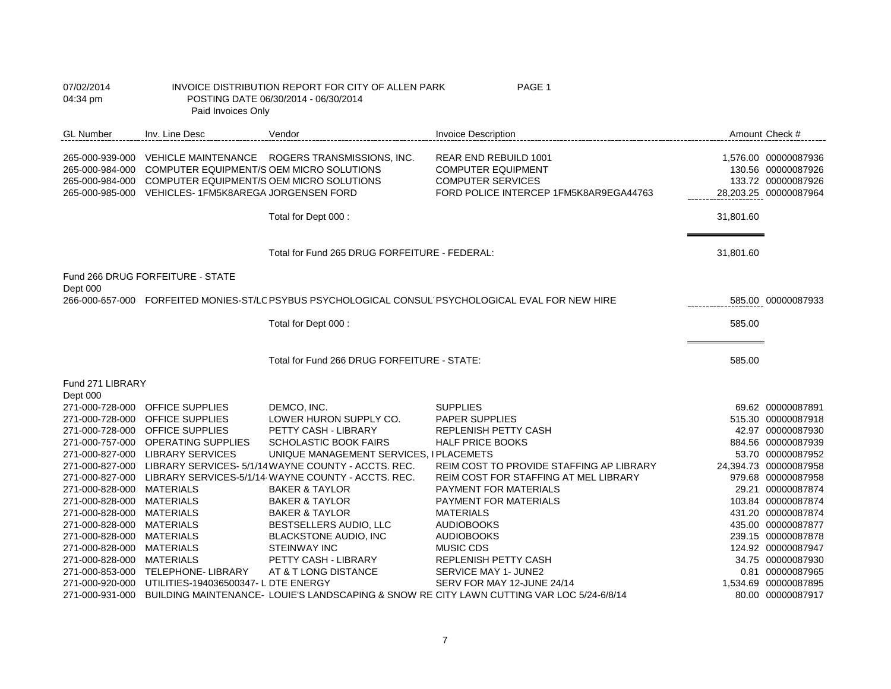| 07/02/2014<br>04:34 pm                                 | Paid Invoices Only                                                                                                                                                          | INVOICE DISTRIBUTION REPORT FOR CITY OF ALLEN PARK<br>POSTING DATE 06/30/2014 - 06/30/2014 | PAGE 1                                                                                                                   |           |                                                                                           |
|--------------------------------------------------------|-----------------------------------------------------------------------------------------------------------------------------------------------------------------------------|--------------------------------------------------------------------------------------------|--------------------------------------------------------------------------------------------------------------------------|-----------|-------------------------------------------------------------------------------------------|
| <b>GL Number</b>                                       | Inv. Line Desc                                                                                                                                                              | Vendor                                                                                     | <b>Invoice Description</b>                                                                                               |           | Amount Check #                                                                            |
|                                                        | 265-000-984-000 COMPUTER EQUIPMENT/S OEM MICRO SOLUTIONS<br>265-000-984-000 COMPUTER EQUIPMENT/S OEM MICRO SOLUTIONS<br>265-000-985-000 VEHICLES-1FM5K8AREGA JORGENSEN FORD | 265-000-939-000 VEHICLE MAINTENANCE ROGERS TRANSMISSIONS, INC.                             | REAR END REBUILD 1001<br><b>COMPUTER EQUIPMENT</b><br><b>COMPUTER SERVICES</b><br>FORD POLICE INTERCEP 1FM5K8AR9EGA44763 |           | 1,576.00 00000087936<br>130.56 00000087926<br>133.72 00000087926<br>28,203.25 00000087964 |
|                                                        |                                                                                                                                                                             | Total for Dept 000 :                                                                       |                                                                                                                          | 31,801.60 |                                                                                           |
|                                                        |                                                                                                                                                                             | Total for Fund 265 DRUG FORFEITURE - FEDERAL:                                              |                                                                                                                          | 31,801.60 |                                                                                           |
|                                                        | Fund 266 DRUG FORFEITURE - STATE                                                                                                                                            |                                                                                            |                                                                                                                          |           |                                                                                           |
| Dept 000                                               |                                                                                                                                                                             |                                                                                            | 266-000-657-000 FORFEITED MONIES-ST/LC PSYBUS PSYCHOLOGICAL CONSUL PSYCHOLOGICAL EVAL FOR NEW HIRE                       |           | 585.00 00000087933                                                                        |
|                                                        |                                                                                                                                                                             | Total for Dept 000 :                                                                       |                                                                                                                          | 585.00    |                                                                                           |
|                                                        |                                                                                                                                                                             | Total for Fund 266 DRUG FORFEITURE - STATE:                                                |                                                                                                                          | 585.00    |                                                                                           |
| Fund 271 LIBRARY<br>Dept 000                           |                                                                                                                                                                             |                                                                                            |                                                                                                                          |           |                                                                                           |
|                                                        | 271-000-728-000 OFFICE SUPPLIES                                                                                                                                             | DEMCO, INC.                                                                                | <b>SUPPLIES</b>                                                                                                          |           | 69.62 00000087891                                                                         |
|                                                        | 271-000-728-000 OFFICE SUPPLIES                                                                                                                                             | LOWER HURON SUPPLY CO.                                                                     | PAPER SUPPLIES                                                                                                           |           | 515.30 00000087918                                                                        |
|                                                        | 271-000-728-000 OFFICE SUPPLIES                                                                                                                                             | PETTY CASH - LIBRARY                                                                       | REPLENISH PETTY CASH                                                                                                     |           | 42.97 00000087930                                                                         |
|                                                        | 271-000-757-000 OPERATING SUPPLIES                                                                                                                                          | SCHOLASTIC BOOK FAIRS                                                                      | <b>HALF PRICE BOOKS</b>                                                                                                  |           | 884.56 00000087939                                                                        |
|                                                        | 271-000-827-000 LIBRARY SERVICES                                                                                                                                            | UNIQUE MANAGEMENT SERVICES, I PLACEMETS                                                    |                                                                                                                          |           | 53.70 00000087952                                                                         |
|                                                        |                                                                                                                                                                             | 271-000-827-000 LIBRARY SERVICES- 5/1/14 WAYNE COUNTY - ACCTS. REC.                        | REIM COST TO PROVIDE STAFFING AP LIBRARY                                                                                 |           | 24,394.73 00000087958                                                                     |
|                                                        |                                                                                                                                                                             | 271-000-827-000 LIBRARY SERVICES-5/1/14 WAYNE COUNTY - ACCTS. REC.                         | REIM COST FOR STAFFING AT MEL LIBRARY                                                                                    |           | 979.68 00000087958                                                                        |
| 271-000-828-000 MATERIALS                              |                                                                                                                                                                             | <b>BAKER &amp; TAYLOR</b>                                                                  | PAYMENT FOR MATERIALS                                                                                                    |           | 29.21 00000087874                                                                         |
| 271-000-828-000 MATERIALS<br>271-000-828-000 MATERIALS |                                                                                                                                                                             | <b>BAKER &amp; TAYLOR</b><br><b>BAKER &amp; TAYLOR</b>                                     | PAYMENT FOR MATERIALS<br><b>MATERIALS</b>                                                                                |           | 103.84 00000087874<br>431.20 00000087874                                                  |
| 271-000-828-000 MATERIALS                              |                                                                                                                                                                             | BESTSELLERS AUDIO, LLC                                                                     | <b>AUDIOBOOKS</b>                                                                                                        |           | 435.00 00000087877                                                                        |
| 271-000-828-000 MATERIALS                              |                                                                                                                                                                             | BLACKSTONE AUDIO, INC                                                                      | <b>AUDIOBOOKS</b>                                                                                                        |           | 239.15 00000087878                                                                        |
| 271-000-828-000 MATERIALS                              |                                                                                                                                                                             | <b>STEINWAY INC</b>                                                                        | <b>MUSIC CDS</b>                                                                                                         |           | 124.92 00000087947                                                                        |
| 271-000-828-000 MATERIALS                              |                                                                                                                                                                             | PETTY CASH - LIBRARY                                                                       | REPLENISH PETTY CASH                                                                                                     |           | 34.75 00000087930                                                                         |
|                                                        | 271-000-853-000 TELEPHONE- LIBRARY                                                                                                                                          | AT & T LONG DISTANCE                                                                       | SERVICE MAY 1- JUNE2                                                                                                     |           | 0.81 00000087965                                                                          |
|                                                        | 271-000-920-000 UTILITIES-194036500347-L DTE ENERGY                                                                                                                         |                                                                                            | SERV FOR MAY 12-JUNE 24/14                                                                                               |           | 1,534.69 00000087895                                                                      |
|                                                        |                                                                                                                                                                             |                                                                                            | 271-000-931-000 BUILDING MAINTENANCE- LOUIE'S LANDSCAPING & SNOW RE CITY LAWN CUTTING VAR LOC 5/24-6/8/14                |           | 80.00 00000087917                                                                         |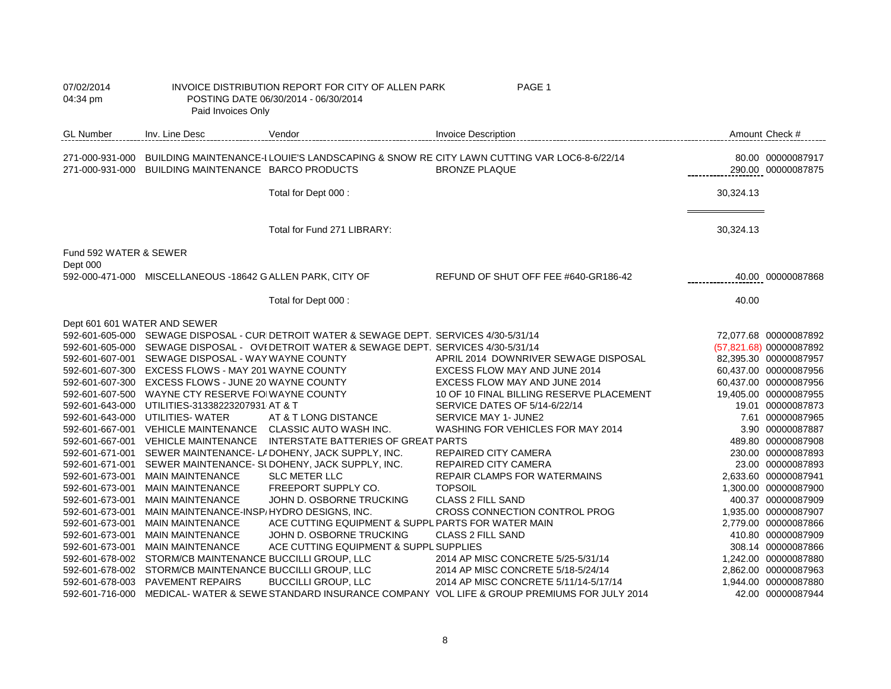| 07/02/2014<br>04:34 pm             | Paid Invoices Only                                        | INVOICE DISTRIBUTION REPORT FOR CITY OF ALLEN PARK<br>POSTING DATE 06/30/2014 - 06/30/2014 | PAGE 1                                                                                                                            |           |                                         |
|------------------------------------|-----------------------------------------------------------|--------------------------------------------------------------------------------------------|-----------------------------------------------------------------------------------------------------------------------------------|-----------|-----------------------------------------|
| <b>GL Number</b>                   | Inv. Line Desc                                            | Vendor                                                                                     | <b>Invoice Description</b>                                                                                                        |           | Amount Check #                          |
|                                    | 271-000-931-000 BUILDING MAINTENANCE BARCO PRODUCTS       |                                                                                            | 271-000-931-000 BUILDING MAINTENANCE-I LOUIE'S LANDSCAPING & SNOW RE CITY LAWN CUTTING VAR LOC6-8-6/22/14<br><b>BRONZE PLAQUE</b> |           | 80.00 00000087917<br>290.00 00000087875 |
|                                    |                                                           | Total for Dept 000 :                                                                       |                                                                                                                                   | 30,324.13 |                                         |
|                                    |                                                           | Total for Fund 271 LIBRARY:                                                                |                                                                                                                                   | 30,324.13 |                                         |
| Fund 592 WATER & SEWER<br>Dept 000 |                                                           |                                                                                            |                                                                                                                                   |           |                                         |
|                                    | 592-000-471-000 MISCELLANEOUS -18642 GALLEN PARK, CITY OF |                                                                                            | REFUND OF SHUT OFF FEE #640-GR186-42                                                                                              |           | 40.00 00000087868                       |
|                                    |                                                           | Total for Dept 000 :                                                                       |                                                                                                                                   | 40.00     |                                         |
| Dept 601 601 WATER AND SEWER       |                                                           |                                                                                            |                                                                                                                                   |           |                                         |
|                                    |                                                           | 592-601-605-000 SEWAGE DISPOSAL - CUR DETROIT WATER & SEWAGE DEPT. SERVICES 4/30-5/31/14   |                                                                                                                                   |           | 72,077.68 00000087892                   |
|                                    |                                                           | 592-601-605-000 SEWAGE DISPOSAL - OVI DETROIT WATER & SEWAGE DEPT. SERVICES 4/30-5/31/14   |                                                                                                                                   |           | (57,821.68) 00000087892                 |
|                                    | 592-601-607-001 SEWAGE DISPOSAL - WAY WAYNE COUNTY        |                                                                                            | APRIL 2014 DOWNRIVER SEWAGE DISPOSAL                                                                                              |           | 82,395.30 00000087957                   |
|                                    | 592-601-607-300 EXCESS FLOWS - MAY 201 WAYNE COUNTY       |                                                                                            | EXCESS FLOW MAY AND JUNE 2014                                                                                                     |           | 60,437.00 00000087956                   |
|                                    | 592-601-607-300 EXCESS FLOWS - JUNE 20 WAYNE COUNTY       |                                                                                            | EXCESS FLOW MAY AND JUNE 2014                                                                                                     |           | 60,437.00 00000087956                   |
|                                    | 592-601-607-500 WAYNE CTY RESERVE FOIWAYNE COUNTY         |                                                                                            | 10 OF 10 FINAL BILLING RESERVE PLACEMENT                                                                                          |           | 19,405.00 00000087955                   |
|                                    | 592-601-643-000 UTILITIES-31338223207931 AT & T           |                                                                                            | SERVICE DATES OF 5/14-6/22/14                                                                                                     |           | 19.01 00000087873                       |
|                                    | 592-601-643-000 UTILITIES- WATER                          | AT & T LONG DISTANCE                                                                       | SERVICE MAY 1- JUNE2                                                                                                              |           | 7.61 00000087965                        |
|                                    | 592-601-667-001 VEHICLE MAINTENANCE                       | CLASSIC AUTO WASH INC.                                                                     | WASHING FOR VEHICLES FOR MAY 2014                                                                                                 |           | 3.90 00000087887                        |
|                                    | 592-601-667-001 VEHICLE MAINTENANCE                       | INTERSTATE BATTERIES OF GREAT PARTS                                                        |                                                                                                                                   |           | 489.80 00000087908                      |
|                                    |                                                           | 592-601-671-001 SEWER MAINTENANCE-LADOHENY, JACK SUPPLY, INC.                              | REPAIRED CITY CAMERA                                                                                                              |           | 230.00 00000087893                      |
|                                    |                                                           | 592-601-671-001 SEWER MAINTENANCE- SUDOHENY, JACK SUPPLY, INC.                             | <b>REPAIRED CITY CAMERA</b>                                                                                                       |           | 23.00 00000087893                       |
|                                    | 592-601-673-001 MAIN MAINTENANCE                          | <b>SLC METER LLC</b>                                                                       | REPAIR CLAMPS FOR WATERMAINS                                                                                                      |           | 2,633.60 00000087941                    |
| 592-601-673-001                    | <b>MAIN MAINTENANCE</b>                                   | FREEPORT SUPPLY CO.                                                                        | <b>TOPSOIL</b>                                                                                                                    |           | 1,300.00 00000087900                    |
| 592-601-673-001                    | <b>MAIN MAINTENANCE</b>                                   | JOHN D. OSBORNE TRUCKING                                                                   | <b>CLASS 2 FILL SAND</b>                                                                                                          |           | 400.37 00000087909                      |
| 592-601-673-001                    | MAIN MAINTENANCE-INSP/HYDRO DESIGNS, INC.                 |                                                                                            | CROSS CONNECTION CONTROL PROG                                                                                                     |           | 1,935.00 00000087907                    |
| 592-601-673-001                    | <b>MAIN MAINTENANCE</b>                                   | ACE CUTTING EQUIPMENT & SUPPL PARTS FOR WATER MAIN                                         |                                                                                                                                   |           | 2,779.00 00000087866                    |
| 592-601-673-001                    | <b>MAIN MAINTENANCE</b>                                   | JOHN D. OSBORNE TRUCKING                                                                   | <b>CLASS 2 FILL SAND</b>                                                                                                          |           | 410.80 00000087909                      |
| 592-601-673-001                    | <b>MAIN MAINTENANCE</b>                                   | ACE CUTTING EQUIPMENT & SUPPL SUPPLIES                                                     |                                                                                                                                   |           | 308.14 00000087866                      |
|                                    | 592-601-678-002 STORM/CB MAINTENANCE BUCCILLI GROUP, LLC  |                                                                                            | 2014 AP MISC CONCRETE 5/25-5/31/14                                                                                                |           | 1,242.00 00000087880                    |
|                                    | 592-601-678-002 STORM/CB MAINTENANCE BUCCILLI GROUP, LLC  |                                                                                            | 2014 AP MISC CONCRETE 5/18-5/24/14                                                                                                |           | 2,862.00 00000087963                    |
|                                    | 592-601-678-003 PAVEMENT REPAIRS                          | <b>BUCCILLI GROUP, LLC</b>                                                                 | 2014 AP MISC CONCRETE 5/11/14-5/17/14                                                                                             |           | 1,944.00 00000087880                    |
| 592-601-716-000                    |                                                           |                                                                                            | MEDICAL-WATER & SEWE STANDARD INSURANCE COMPANY VOL LIFE & GROUP PREMIUMS FOR JULY 2014                                           |           | 42.00 00000087944                       |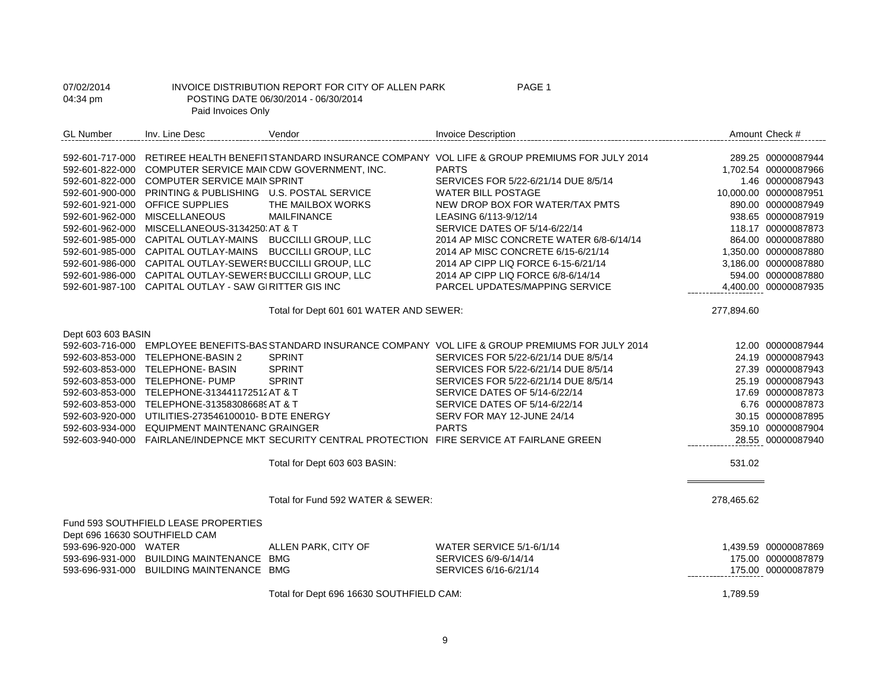| 07/02/2014<br>04:34 pm                | Paid Invoices Only                                                                                                                                                                                                                                                                                                                                                                                                                                                                                                                          | INVOICE DISTRIBUTION REPORT FOR CITY OF ALLEN PARK<br>POSTING DATE 06/30/2014 - 06/30/2014 | PAGE 1                                                                                                                                                                                                                                                                                                                                                                                                                                                    |            |                                                                                                                                                                                                                                                       |
|---------------------------------------|---------------------------------------------------------------------------------------------------------------------------------------------------------------------------------------------------------------------------------------------------------------------------------------------------------------------------------------------------------------------------------------------------------------------------------------------------------------------------------------------------------------------------------------------|--------------------------------------------------------------------------------------------|-----------------------------------------------------------------------------------------------------------------------------------------------------------------------------------------------------------------------------------------------------------------------------------------------------------------------------------------------------------------------------------------------------------------------------------------------------------|------------|-------------------------------------------------------------------------------------------------------------------------------------------------------------------------------------------------------------------------------------------------------|
| <b>GL Number</b>                      | Inv. Line Desc                                                                                                                                                                                                                                                                                                                                                                                                                                                                                                                              | Vendor                                                                                     | <b>Invoice Description</b>                                                                                                                                                                                                                                                                                                                                                                                                                                |            | Amount Check #                                                                                                                                                                                                                                        |
|                                       | 592-601-822-000 COMPUTER SERVICE MAIN CDW GOVERNMENT, INC.<br>592-601-822-000 COMPUTER SERVICE MAIN SPRINT<br>592-601-900-000 PRINTING & PUBLISHING U.S. POSTAL SERVICE<br>592-601-921-000 OFFICE SUPPLIES<br>592-601-962-000 MISCELLANEOUS<br>592-601-962-000 MISCELLANEOUS-3134250 AT & T<br>592-601-985-000 CAPITAL OUTLAY-MAINS BUCCILLI GROUP, LLC<br>592-601-985-000 CAPITAL OUTLAY-MAINS BUCCILLI GROUP, LLC<br>592-601-986-000 CAPITAL OUTLAY-SEWER{BUCCILLI GROUP, LLC<br>592-601-986-000 CAPITAL OUTLAY-SEWER SUCCILLI GROUP, LLC | THE MAILBOX WORKS<br><b>MAILFINANCE</b>                                                    | 592-601-717-000 RETIREE HEALTH BENEFIT STANDARD INSURANCE COMPANY VOL LIFE & GROUP PREMIUMS FOR JULY 2014<br><b>PARTS</b><br>SERVICES FOR 5/22-6/21/14 DUE 8/5/14<br><b>WATER BILL POSTAGE</b><br>NEW DROP BOX FOR WATER/TAX PMTS<br>LEASING 6/113-9/12/14<br>SERVICE DATES OF 5/14-6/22/14<br>2014 AP MISC CONCRETE WATER 6/8-6/14/14<br>2014 AP MISC CONCRETE 6/15-6/21/14<br>2014 AP CIPP LIQ FORCE 6-15-6/21/14<br>2014 AP CIPP LIQ FORCE 6/8-6/14/14 |            | 289.25 00000087944<br>1,702.54 00000087966<br>1.46 00000087943<br>10,000.00 00000087951<br>890.00 00000087949<br>938.65 00000087919<br>118.17 00000087873<br>864.00 00000087880<br>1,350.00 00000087880<br>3,186.00 00000087880<br>594.00 00000087880 |
|                                       | 592-601-987-100 CAPITAL OUTLAY - SAW GIRITTER GIS INC                                                                                                                                                                                                                                                                                                                                                                                                                                                                                       |                                                                                            | <b>PARCEL UPDATES/MAPPING SERVICE</b>                                                                                                                                                                                                                                                                                                                                                                                                                     |            | 4,400.00 00000087935                                                                                                                                                                                                                                  |
|                                       |                                                                                                                                                                                                                                                                                                                                                                                                                                                                                                                                             | Total for Dept 601 601 WATER AND SEWER:                                                    |                                                                                                                                                                                                                                                                                                                                                                                                                                                           | 277,894.60 |                                                                                                                                                                                                                                                       |
| Dept 603 603 BASIN<br>592-603-716-000 | 592-603-853-000 TELEPHONE-BASIN 2<br>592-603-853-000 TELEPHONE- BASIN<br>592-603-853-000 TELEPHONE- PUMP<br>592-603-853-000 TELEPHONE-313441172512 AT & T<br>592-603-853-000 TELEPHONE-313583086689 AT & T<br>592-603-920-000 UTILITIES-273546100010- B DTE ENERGY<br>592-603-934-000 EQUIPMENT MAINTENANC GRAINGER                                                                                                                                                                                                                         | <b>SPRINT</b><br><b>SPRINT</b><br><b>SPRINT</b><br>Total for Dept 603 603 BASIN:           | EMPLOYEE BENEFITS-BAS STANDARD INSURANCE COMPANY VOL LIFE & GROUP PREMIUMS FOR JULY 2014<br>SERVICES FOR 5/22-6/21/14 DUE 8/5/14<br>SERVICES FOR 5/22-6/21/14 DUE 8/5/14<br>SERVICES FOR 5/22-6/21/14 DUE 8/5/14<br>SERVICE DATES OF 5/14-6/22/14<br>SERVICE DATES OF 5/14-6/22/14<br>SERV FOR MAY 12-JUNE 24/14<br><b>PARTS</b><br>592-603-940-000 FAIRLANE/INDEPNCE MKT SECURITY CENTRAL PROTECTION FIRE SERVICE AT FAIRLANE GREEN                      | 531.02     | 12.00 00000087944<br>24.19 00000087943<br>27.39 00000087943<br>25.19 00000087943<br>17.69 00000087873<br>6.76 00000087873<br>30.15 00000087895<br>359.10 00000087904<br>28.55 00000087940                                                             |
|                                       | Fund 593 SOUTHFIELD LEASE PROPERTIES                                                                                                                                                                                                                                                                                                                                                                                                                                                                                                        | Total for Fund 592 WATER & SEWER:                                                          |                                                                                                                                                                                                                                                                                                                                                                                                                                                           | 278,465.62 |                                                                                                                                                                                                                                                       |
| 593-696-920-000 WATER                 | Dept 696 16630 SOUTHFIELD CAM<br>593-696-931-000 BUILDING MAINTENANCE BMG<br>593-696-931-000 BUILDING MAINTENANCE BMG                                                                                                                                                                                                                                                                                                                                                                                                                       | ALLEN PARK, CITY OF<br>Total for Dept 696 16630 SOUTHFIELD CAM:                            | WATER SERVICE 5/1-6/1/14<br>SERVICES 6/9-6/14/14<br>SERVICES 6/16-6/21/14                                                                                                                                                                                                                                                                                                                                                                                 | 1,789.59   | 1,439.59 00000087869<br>175.00 00000087879<br>175.00 00000087879                                                                                                                                                                                      |